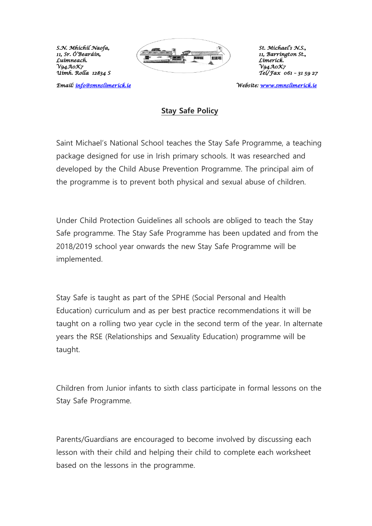*Uimh. Rolla 12834 S Tel/Fax 061 – 31 59 27* 

Email: info@smnslimerick.ie



*Email: [info@smnslimerick.ie](mailto:info@smnslimerick.ie) Website: [www.smnslimerick.ie](http://www.smnslimerick.ie/)* 

## **Stay Safe Policy**

Saint Michael's National School teaches the Stay Safe Programme, a teaching package designed for use in Irish primary schools. It was researched and developed by the Child Abuse Prevention Programme. The principal aim of the programme is to prevent both physical and sexual abuse of children.

Under Child Protection Guidelines all schools are obliged to teach the Stay Safe programme. The Stay Safe Programme has been updated and from the 2018/2019 school year onwards the new Stay Safe Programme will be implemented.

Stay Safe is taught as part of the SPHE (Social Personal and Health Education) curriculum and as per best practice recommendations it will be taught on a rolling two year cycle in the second term of the year. In alternate years the RSE (Relationships and Sexuality Education) programme will be taught.

Children from Junior infants to sixth class participate in formal lessons on the Stay Safe Programme.

Parents/Guardians are encouraged to become involved by discussing each lesson with their child and helping their child to complete each worksheet based on the lessons in the programme.